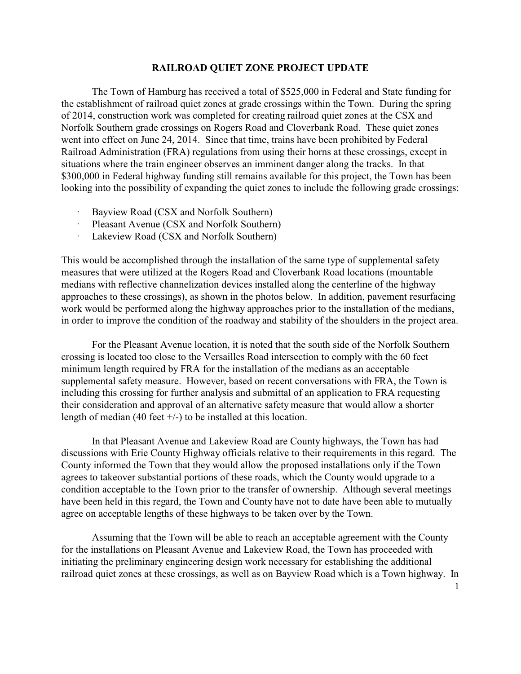## **RAILROAD QUIET ZONE PROJECT UPDATE**

The Town of Hamburg has received a total of \$525,000 in Federal and State funding for the establishment of railroad quiet zones at grade crossings within the Town. During the spring of 2014, construction work was completed for creating railroad quiet zones at the CSX and Norfolk Southern grade crossings on Rogers Road and Cloverbank Road. These quiet zones went into effect on June 24, 2014. Since that time, trains have been prohibited by Federal Railroad Administration (FRA) regulations from using their horns at these crossings, except in situations where the train engineer observes an imminent danger along the tracks. In that \$300,000 in Federal highway funding still remains available for this project, the Town has been looking into the possibility of expanding the quiet zones to include the following grade crossings:

- Bayview Road (CSX and Norfolk Southern)
- Pleasant Avenue (CSX and Norfolk Southern)
- · Lakeview Road (CSX and Norfolk Southern)

This would be accomplished through the installation of the same type of supplemental safety measures that were utilized at the Rogers Road and Cloverbank Road locations (mountable medians with reflective channelization devices installed along the centerline of the highway approaches to these crossings), as shown in the photos below. In addition, pavement resurfacing work would be performed along the highway approaches prior to the installation of the medians, in order to improve the condition of the roadway and stability of the shoulders in the project area.

For the Pleasant Avenue location, it is noted that the south side of the Norfolk Southern crossing is located too close to the Versailles Road intersection to comply with the 60 feet minimum length required by FRA for the installation of the medians as an acceptable supplemental safety measure. However, based on recent conversations with FRA, the Town is including this crossing for further analysis and submittal of an application to FRA requesting their consideration and approval of an alternative safety measure that would allow a shorter length of median (40 feet  $+/-$ ) to be installed at this location.

In that Pleasant Avenue and Lakeview Road are County highways, the Town has had discussions with Erie County Highway officials relative to their requirements in this regard. The County informed the Town that they would allow the proposed installations only if the Town agrees to takeover substantial portions of these roads, which the County would upgrade to a condition acceptable to the Town prior to the transfer of ownership. Although several meetings have been held in this regard, the Town and County have not to date have been able to mutually agree on acceptable lengths of these highways to be taken over by the Town.

Assuming that the Town will be able to reach an acceptable agreement with the County for the installations on Pleasant Avenue and Lakeview Road, the Town has proceeded with initiating the preliminary engineering design work necessary for establishing the additional railroad quiet zones at these crossings, as well as on Bayview Road which is a Town highway. In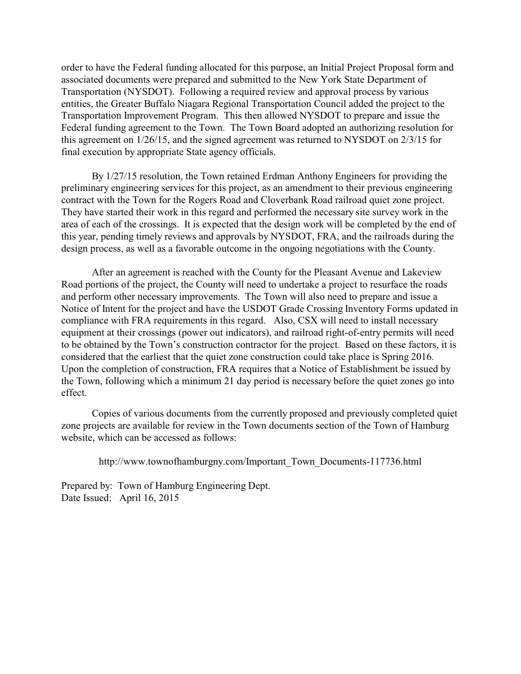order to have the Federal funding allocated for this purpose, an Initial Project Proposal form and associated documents were prepared and submitted to the New York State Department of Transportation (NYSDOT). Following a required review and approval process by various entities, the Greater Buffalo Niagara Regional Transportation Council added the project to the Transportation Improvement Program. This then allowed NYSDOT to prepare and issue the Federal funding agreement to the Town. The Town Board adopted an authorizing resolution for this agreement on 1/26/15, and the signed agreement was returned to NYSDOT on 2/3/15 for final execution by appropriate State agency officials.

By 1/27/15 resolution, the Town retained Erdman Anthony Engineers for providing the preliminary engineering services for this project, as an amendment to their previous engineering contract with the Town for the Rogers Road and Cloverbank Road railroad quiet zone project. They have started their work in this regard and performed the necessary site survey work in the area of each of the crossings. It is expected that the design work will be completed by the end of this year, pending timely reviews and approvals by NYSDOT, FRA, and the railroads during the design process, as well as a favorable outcome in the ongoing negotiations with the County.

After an agreement is reached with the County for the Pleasant Avenue and Lakeview Road portions of the project, the County will need to undertake a project to resurface the roads and perform other necessary improvements. The Town will also need to prepare and issue a Notice of Intent for the project and have the USDOT Grade Crossing Inventory Forms updated in compliance with FRA requirements in this regard. Also, CSX will need to install necessary equipment at their crossings (power out indicators), and railroad right-of-entry permits will need to be obtained by the Town's construction contractor for the project. Based on these factors, it is considered that the earliest that the quiet zone construction could take place is Spring 2016. Upon the completion of construction, FRA requires that a Notice of Establishment be issued by the Town, following which a minimum 21 day period is necessary before the quiet zones go into effect.

Copies of various documents from the currently proposed and previously completed quiet zone projects are available for review in the Town documents section of the Town of Hamburg website, which can be accessed as follows:

http://www.townofhamburgny.com/Important\_Town\_Documents-117736.html

Prepared by: Town of Hamburg Engineering Dept. Date Issued: April 16, 2015